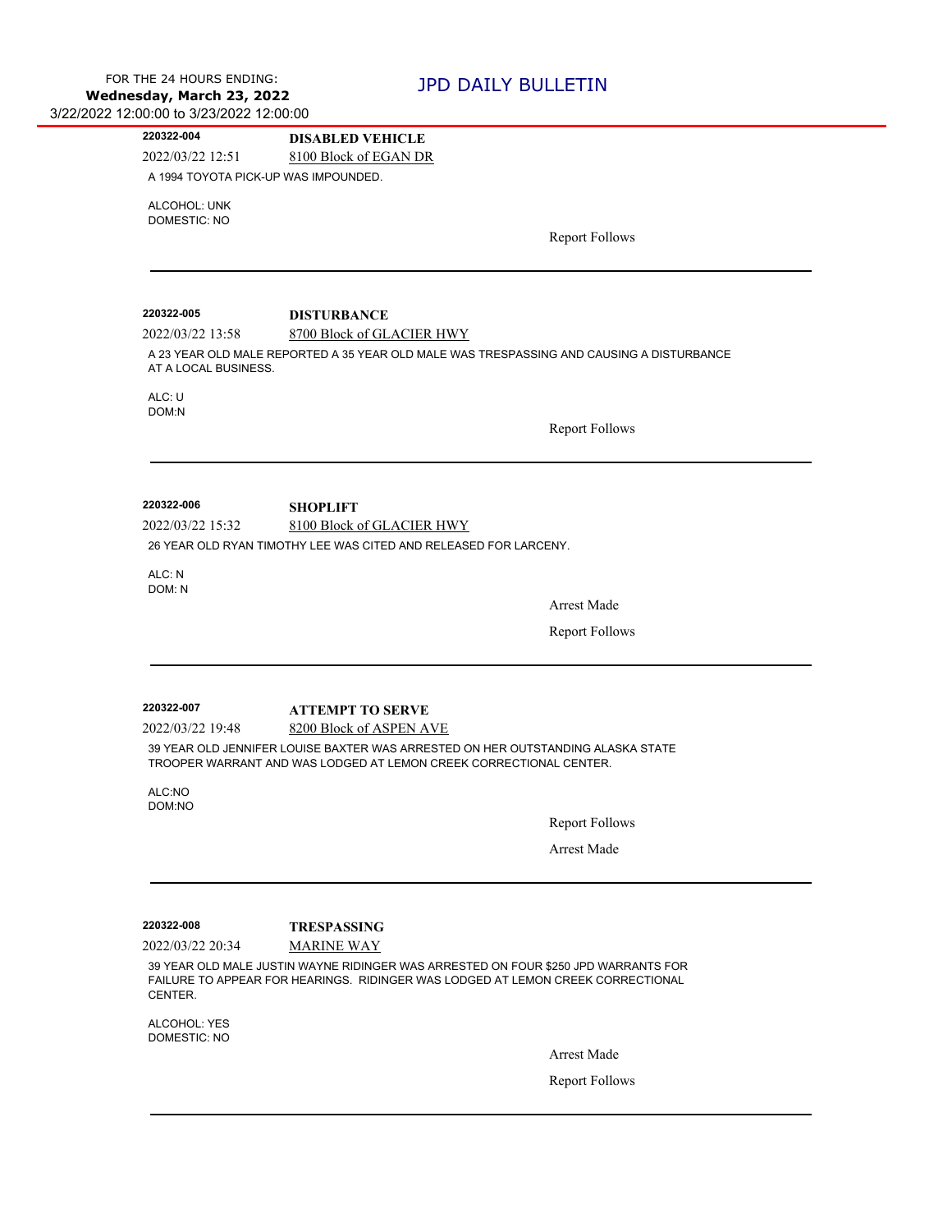| 220322-004                          | <b>DISABLED VEHICLE</b>                                                                                                                                               |
|-------------------------------------|-----------------------------------------------------------------------------------------------------------------------------------------------------------------------|
| 2022/03/22 12:51                    | 8100 Block of EGAN DR<br>A 1994 TOYOTA PICK-UP WAS IMPOUNDED.                                                                                                         |
|                                     |                                                                                                                                                                       |
| ALCOHOL: UNK<br><b>DOMESTIC: NO</b> |                                                                                                                                                                       |
|                                     | <b>Report Follows</b>                                                                                                                                                 |
|                                     |                                                                                                                                                                       |
|                                     |                                                                                                                                                                       |
| 220322-005                          | <b>DISTURBANCE</b>                                                                                                                                                    |
| 2022/03/22 13:58                    | 8700 Block of GLACIER HWY                                                                                                                                             |
|                                     | A 23 YEAR OLD MALE REPORTED A 35 YEAR OLD MALE WAS TRESPASSING AND CAUSING A DISTURBANCE                                                                              |
| AT A LOCAL BUSINESS.                |                                                                                                                                                                       |
| ALC: U                              |                                                                                                                                                                       |
| DOM:N                               |                                                                                                                                                                       |
|                                     | <b>Report Follows</b>                                                                                                                                                 |
|                                     |                                                                                                                                                                       |
|                                     |                                                                                                                                                                       |
| 220322-006                          | <b>SHOPLIFT</b>                                                                                                                                                       |
| 2022/03/22 15:32                    | 8100 Block of GLACIER HWY                                                                                                                                             |
|                                     | 26 YEAR OLD RYAN TIMOTHY LEE WAS CITED AND RELEASED FOR LARCENY.                                                                                                      |
| ALC: N                              |                                                                                                                                                                       |
|                                     |                                                                                                                                                                       |
| DOM: N                              |                                                                                                                                                                       |
|                                     | <b>Arrest Made</b>                                                                                                                                                    |
|                                     | <b>Report Follows</b>                                                                                                                                                 |
|                                     |                                                                                                                                                                       |
|                                     |                                                                                                                                                                       |
| 220322-007                          | <b>ATTEMPT TO SERVE</b>                                                                                                                                               |
| 2022/03/22 19:48                    | 8200 Block of ASPEN AVE                                                                                                                                               |
|                                     | 39 YEAR OLD JENNIFER LOUISE BAXTER WAS ARRESTED ON HER OUTSTANDING ALASKA STATE                                                                                       |
|                                     | TROOPER WARRANT AND WAS LODGED AT LEMON CREEK CORRECTIONAL CENTER.                                                                                                    |
| ALC:NO<br>DOM:NO                    |                                                                                                                                                                       |
|                                     | <b>Report Follows</b>                                                                                                                                                 |
|                                     |                                                                                                                                                                       |
|                                     | <b>Arrest Made</b>                                                                                                                                                    |
|                                     |                                                                                                                                                                       |
|                                     |                                                                                                                                                                       |
| 220322-008                          | <b>TRESPASSING</b>                                                                                                                                                    |
| 2022/03/22 20:34                    | <b>MARINE WAY</b>                                                                                                                                                     |
| CENTER.                             | 39 YEAR OLD MALE JUSTIN WAYNE RIDINGER WAS ARRESTED ON FOUR \$250 JPD WARRANTS FOR<br>FAILURE TO APPEAR FOR HEARINGS. RIDINGER WAS LODGED AT LEMON CREEK CORRECTIONAL |
| ALCOHOL: YES                        |                                                                                                                                                                       |
| DOMESTIC: NO                        |                                                                                                                                                                       |
|                                     | <b>Arrest Made</b><br><b>Report Follows</b>                                                                                                                           |